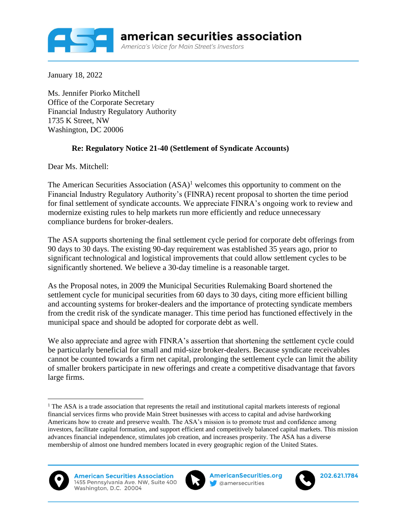

January 18, 2022

Ms. Jennifer Piorko Mitchell Office of the Corporate Secretary Financial Industry Regulatory Authority 1735 K Street, NW Washington, DC 20006

## **Re: Regulatory Notice 21-40 (Settlement of Syndicate Accounts)**

Dear Ms. Mitchell:

The American Securities Association  $(ASA)^1$  welcomes this opportunity to comment on the Financial Industry Regulatory Authority's (FINRA) recent proposal to shorten the time period for final settlement of syndicate accounts. We appreciate FINRA's ongoing work to review and modernize existing rules to help markets run more efficiently and reduce unnecessary compliance burdens for broker-dealers.

The ASA supports shortening the final settlement cycle period for corporate debt offerings from 90 days to 30 days. The existing 90-day requirement was established 35 years ago, prior to significant technological and logistical improvements that could allow settlement cycles to be significantly shortened. We believe a 30-day timeline is a reasonable target.

As the Proposal notes, in 2009 the Municipal Securities Rulemaking Board shortened the settlement cycle for municipal securities from 60 days to 30 days, citing more efficient billing and accounting systems for broker-dealers and the importance of protecting syndicate members from the credit risk of the syndicate manager. This time period has functioned effectively in the municipal space and should be adopted for corporate debt as well.

We also appreciate and agree with FINRA's assertion that shortening the settlement cycle could be particularly beneficial for small and mid-size broker-dealers. Because syndicate receivables cannot be counted towards a firm net capital, prolonging the settlement cycle can limit the ability of smaller brokers participate in new offerings and create a competitive disadvantage that favors large firms.

<sup>&</sup>lt;sup>1</sup> The ASA is a trade association that represents the retail and institutional capital markets interests of regional financial services firms who provide Main Street businesses with access to capital and advise hardworking Americans how to create and preserve wealth. The ASA's mission is to promote trust and confidence among investors, facilitate capital formation, and support efficient and competitively balanced capital markets. This mission advances financial independence, stimulates job creation, and increases prosperity. The ASA has a diverse membership of almost one hundred members located in every geographic region of the United States.